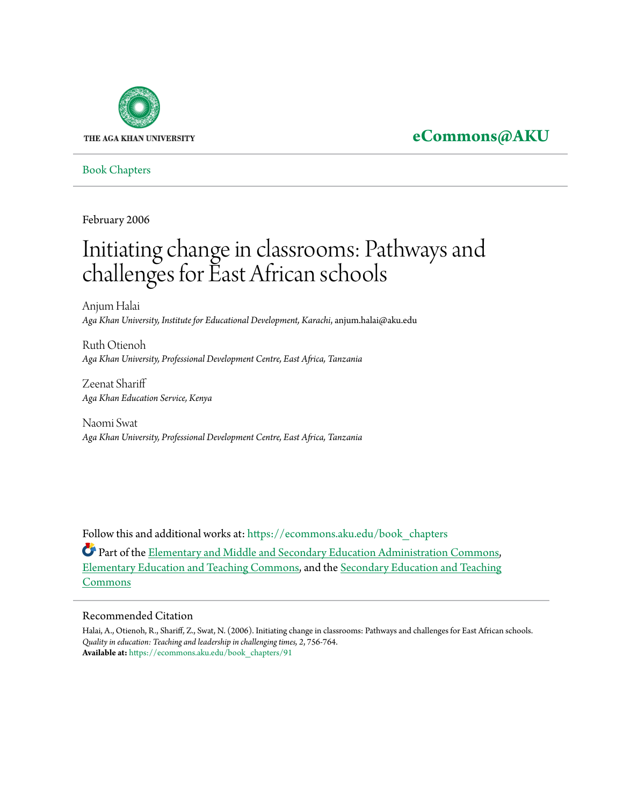

## **[eCommons@AKU](https://ecommons.aku.edu?utm_source=ecommons.aku.edu%2Fbook_chapters%2F91&utm_medium=PDF&utm_campaign=PDFCoverPages)**

[Book Chapters](https://ecommons.aku.edu/book_chapters?utm_source=ecommons.aku.edu%2Fbook_chapters%2F91&utm_medium=PDF&utm_campaign=PDFCoverPages)

February 2006

# Initiating change in classrooms: Pathways and challenges for East African schools

Anjum Halai *Aga Khan University, Institute for Educational Development, Karachi*, anjum.halai@aku.edu

Ruth Otienoh *Aga Khan University, Professional Development Centre, East Africa, Tanzania*

Zeenat Shariff *Aga Khan Education Service, Kenya*

Naomi Swat *Aga Khan University, Professional Development Centre, East Africa, Tanzania*

Follow this and additional works at: [https://ecommons.aku.edu/book\\_chapters](https://ecommons.aku.edu/book_chapters?utm_source=ecommons.aku.edu%2Fbook_chapters%2F91&utm_medium=PDF&utm_campaign=PDFCoverPages)

Part of the [Elementary and Middle and Secondary Education Administration Commons,](http://network.bepress.com/hgg/discipline/790?utm_source=ecommons.aku.edu%2Fbook_chapters%2F91&utm_medium=PDF&utm_campaign=PDFCoverPages) [Elementary Education and Teaching Commons](http://network.bepress.com/hgg/discipline/805?utm_source=ecommons.aku.edu%2Fbook_chapters%2F91&utm_medium=PDF&utm_campaign=PDFCoverPages), and the [Secondary Education and Teaching](http://network.bepress.com/hgg/discipline/809?utm_source=ecommons.aku.edu%2Fbook_chapters%2F91&utm_medium=PDF&utm_campaign=PDFCoverPages) [Commons](http://network.bepress.com/hgg/discipline/809?utm_source=ecommons.aku.edu%2Fbook_chapters%2F91&utm_medium=PDF&utm_campaign=PDFCoverPages)

### Recommended Citation

Halai, A., Otienoh, R., Shariff, Z., Swat, N. (2006). Initiating change in classrooms: Pathways and challenges for East African schools. *Quality in education: Teaching and leadership in challenging times, 2*, 756-764. **Available at:** [https://ecommons.aku.edu/book\\_chapters/91](https://ecommons.aku.edu/book_chapters/91)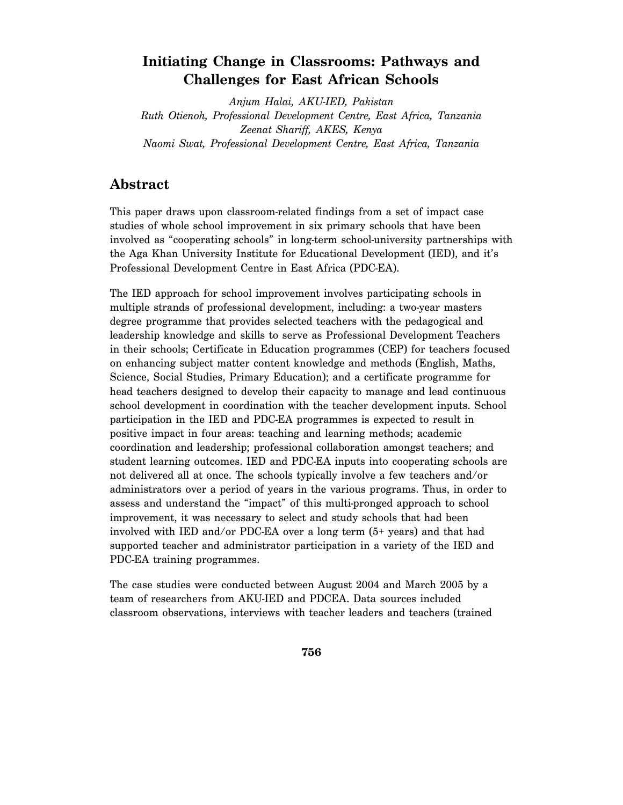### **Initiating Change in Classrooms: Pathways and Challenges for East African Schools**

*Anjum Halai, AKU-IED, Pakistan Ruth Otienoh, Professional Development Centre, East Africa, Tanzania Zeenat Shariff, AKES, Kenya Naomi Swat, Professional Development Centre, East Africa, Tanzania* 

### **Abstract**

This paper draws upon classroom-related findings from a set of impact case studies of whole school improvement in six primary schools that have been involved as "cooperating schools" in long-term school-university partnerships with the Aga Khan University Institute for Educational Development (IED), and it's Professional Development Centre in East Africa (PDC-EA).

The IED approach for school improvement involves participating schools in multiple strands of professional development, including: a two-year masters degree programme that provides selected teachers with the pedagogical and leadership knowledge and skills to serve as Professional Development Teachers in their schools; Certificate in Education programmes (CEP) for teachers focused on enhancing subject matter content knowledge and methods (English, Maths, Science, Social Studies, Primary Education); and a certificate programme for head teachers designed to develop their capacity to manage and lead continuous school development in coordination with the teacher development inputs. School participation in the IED and PDC-EA programmes is expected to result in positive impact in four areas: teaching and learning methods; academic coordination and leadership; professional collaboration amongst teachers; and student learning outcomes. IED and PDC-EA inputs into cooperating schools are not delivered all at once. The schools typically involve a few teachers and/or administrators over a period of years in the various programs. Thus, in order to assess and understand the "impact" of this multi-pronged approach to school improvement, it was necessary to select and study schools that had been involved with IED and/or PDC-EA over a long term (5+ years) and that had supported teacher and administrator participation in a variety of the IED and PDC-EA training programmes.

The case studies were conducted between August 2004 and March 2005 by a team of researchers from AKU-IED and PDCEA. Data sources included classroom observations, interviews with teacher leaders and teachers (trained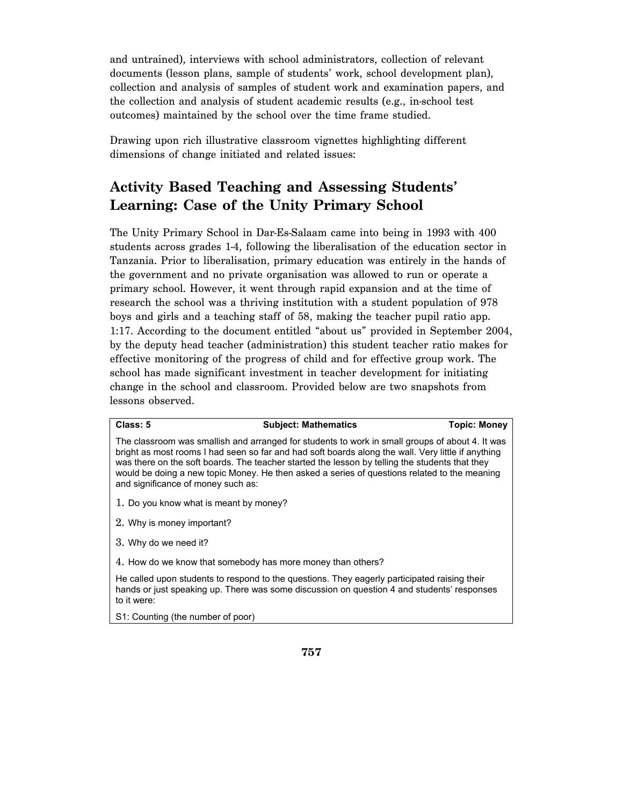and untrained), interviews with school administrators, collection of relevant documents (lesson plans, sample of students' work, school development plan), collection and analysis of samples of student work and examination papers, and the collection and analysis of student academic results (e.g., in-school test outcomes) maintained by the school over the time frame studied.

Drawing upon rich illustrative classroom vignettes highlighting different dimensions of change initiated and related issues:

## **Activity Based Teaching and Assessing Students' Learning: Case of the Unity Primary School**

The Unity Primary School in Dar-Es-Salaam came into being in 1993 with 400 students across grades 1-4, following the liberalisation of the education sector in Tanzania. Prior to liberalisation, primary education was entirely in the hands of the government and no private organisation was allowed to run or operate a primary school. However, it went through rapid expansion and at the time of research the school was a thriving institution with a student population of 978 boys and girls and a teaching staff of 58, making the teacher pupil ratio app. 1:17. According to the document entitled "about us" provided in September 2004, by the deputy head teacher (administration) this student teacher ratio makes for effective monitoring of the progress of child and for effective group work. The school has made significant investment in teacher development for initiating change in the school and classroom. Provided below are two snapshots from lessons observed.

### **Class: 5 Subject: Mathematics Topic: Money**

The classroom was smallish and arranged for students to work in small groups of about 4. It was bright as most rooms I had seen so far and had soft boards along the wall. Very little if anything was there on the soft boards. The teacher started the lesson by telling the students that they would be doing a new topic Money. He then asked a series of questions related to the meaning and significance of money such as:

- 1. Do you know what is meant by money?
- 2. Why is money important?
- 3. Why do we need it?
- 4. How do we know that somebody has more money than others?

He called upon students to respond to the questions. They eagerly participated raising their hands or just speaking up. There was some discussion on question 4 and students' responses to it were:

S1: Counting (the number of poor)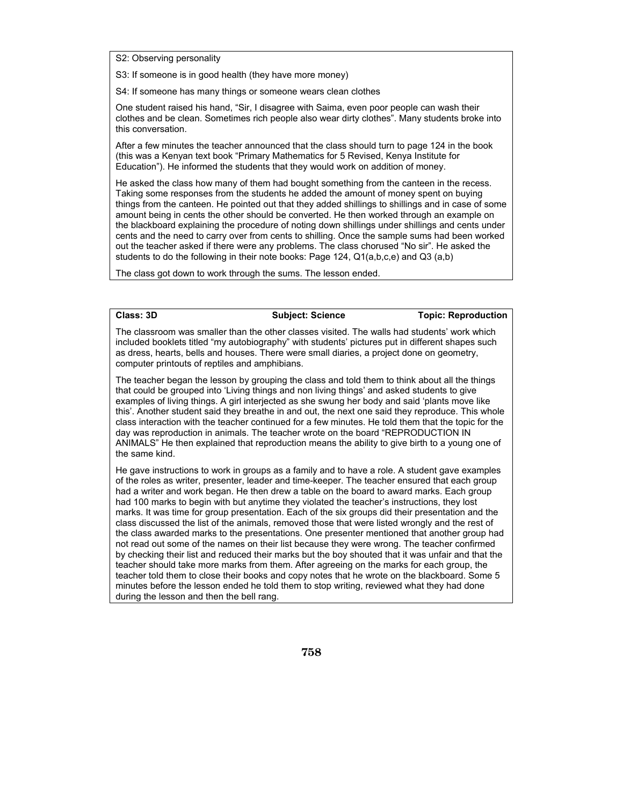S2: Observing personality

S3: If someone is in good health (they have more money)

S4: If someone has many things or someone wears clean clothes

One student raised his hand, "Sir, I disagree with Saima, even poor people can wash their clothes and be clean. Sometimes rich people also wear dirty clothes". Many students broke into this conversation.

After a few minutes the teacher announced that the class should turn to page 124 in the book (this was a Kenyan text book "Primary Mathematics for 5 Revised, Kenya Institute for Education"). He informed the students that they would work on addition of money.

He asked the class how many of them had bought something from the canteen in the recess. Taking some responses from the students he added the amount of money spent on buying things from the canteen. He pointed out that they added shillings to shillings and in case of some amount being in cents the other should be converted. He then worked through an example on the blackboard explaining the procedure of noting down shillings under shillings and cents under cents and the need to carry over from cents to shilling. Once the sample sums had been worked out the teacher asked if there were any problems. The class chorused "No sir". He asked the students to do the following in their note books: Page 124, Q1(a,b,c,e) and Q3 (a,b)

The class got down to work through the sums. The lesson ended.

**Class: 3D Subject: Science Topic: Reproduction** 

The classroom was smaller than the other classes visited. The walls had students' work which included booklets titled "my autobiography" with students' pictures put in different shapes such as dress, hearts, bells and houses. There were small diaries, a project done on geometry, computer printouts of reptiles and amphibians.

The teacher began the lesson by grouping the class and told them to think about all the things that could be grouped into 'Living things and non living things' and asked students to give examples of living things. A girl interjected as she swung her body and said 'plants move like this'. Another student said they breathe in and out, the next one said they reproduce. This whole class interaction with the teacher continued for a few minutes. He told them that the topic for the day was reproduction in animals. The teacher wrote on the board "REPRODUCTION IN ANIMALS" He then explained that reproduction means the ability to give birth to a young one of the same kind.

He gave instructions to work in groups as a family and to have a role. A student gave examples of the roles as writer, presenter, leader and time-keeper. The teacher ensured that each group had a writer and work began. He then drew a table on the board to award marks. Each group had 100 marks to begin with but anytime they violated the teacher's instructions, they lost marks. It was time for group presentation. Each of the six groups did their presentation and the class discussed the list of the animals, removed those that were listed wrongly and the rest of the class awarded marks to the presentations. One presenter mentioned that another group had not read out some of the names on their list because they were wrong. The teacher confirmed by checking their list and reduced their marks but the boy shouted that it was unfair and that the teacher should take more marks from them. After agreeing on the marks for each group, the teacher told them to close their books and copy notes that he wrote on the blackboard. Some 5 minutes before the lesson ended he told them to stop writing, reviewed what they had done during the lesson and then the bell rang.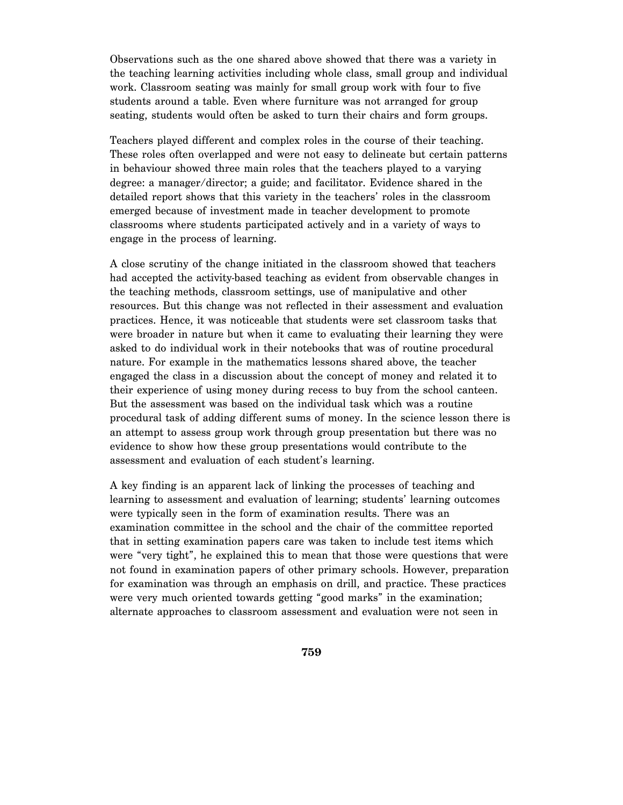Observations such as the one shared above showed that there was a variety in the teaching learning activities including whole class, small group and individual work. Classroom seating was mainly for small group work with four to five students around a table. Even where furniture was not arranged for group seating, students would often be asked to turn their chairs and form groups.

Teachers played different and complex roles in the course of their teaching. These roles often overlapped and were not easy to delineate but certain patterns in behaviour showed three main roles that the teachers played to a varying degree: a manager/director; a guide; and facilitator. Evidence shared in the detailed report shows that this variety in the teachers' roles in the classroom emerged because of investment made in teacher development to promote classrooms where students participated actively and in a variety of ways to engage in the process of learning.

A close scrutiny of the change initiated in the classroom showed that teachers had accepted the activity-based teaching as evident from observable changes in the teaching methods, classroom settings, use of manipulative and other resources. But this change was not reflected in their assessment and evaluation practices. Hence, it was noticeable that students were set classroom tasks that were broader in nature but when it came to evaluating their learning they were asked to do individual work in their notebooks that was of routine procedural nature. For example in the mathematics lessons shared above, the teacher engaged the class in a discussion about the concept of money and related it to their experience of using money during recess to buy from the school canteen. But the assessment was based on the individual task which was a routine procedural task of adding different sums of money. In the science lesson there is an attempt to assess group work through group presentation but there was no evidence to show how these group presentations would contribute to the assessment and evaluation of each student's learning.

A key finding is an apparent lack of linking the processes of teaching and learning to assessment and evaluation of learning; students' learning outcomes were typically seen in the form of examination results. There was an examination committee in the school and the chair of the committee reported that in setting examination papers care was taken to include test items which were "very tight", he explained this to mean that those were questions that were not found in examination papers of other primary schools. However, preparation for examination was through an emphasis on drill, and practice. These practices were very much oriented towards getting "good marks" in the examination; alternate approaches to classroom assessment and evaluation were not seen in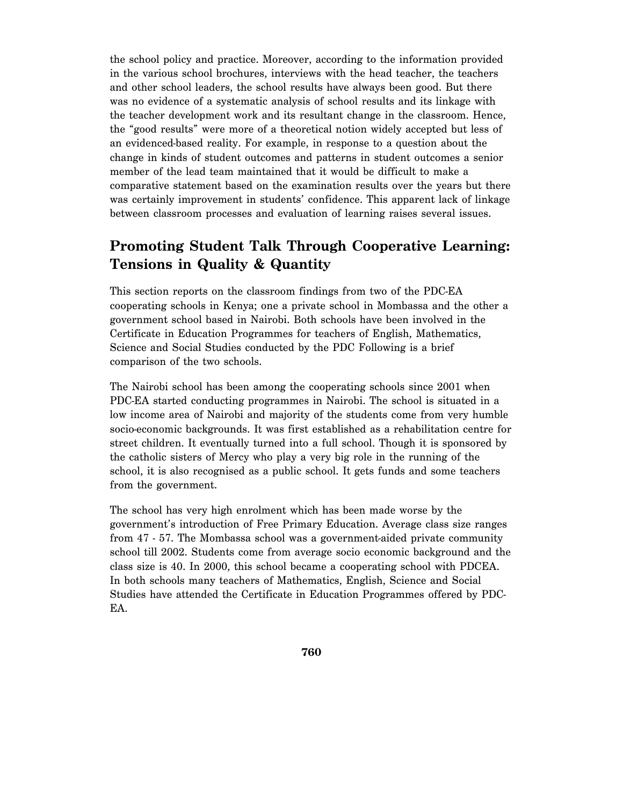the school policy and practice. Moreover, according to the information provided in the various school brochures, interviews with the head teacher, the teachers and other school leaders, the school results have always been good. But there was no evidence of a systematic analysis of school results and its linkage with the teacher development work and its resultant change in the classroom. Hence, the "good results" were more of a theoretical notion widely accepted but less of an evidenced-based reality. For example, in response to a question about the change in kinds of student outcomes and patterns in student outcomes a senior member of the lead team maintained that it would be difficult to make a comparative statement based on the examination results over the years but there was certainly improvement in students' confidence. This apparent lack of linkage between classroom processes and evaluation of learning raises several issues.

### **Promoting Student Talk Through Cooperative Learning: Tensions in Quality & Quantity**

This section reports on the classroom findings from two of the PDC-EA cooperating schools in Kenya; one a private school in Mombassa and the other a government school based in Nairobi. Both schools have been involved in the Certificate in Education Programmes for teachers of English, Mathematics, Science and Social Studies conducted by the PDC Following is a brief comparison of the two schools.

The Nairobi school has been among the cooperating schools since 2001 when PDC-EA started conducting programmes in Nairobi. The school is situated in a low income area of Nairobi and majority of the students come from very humble socio-economic backgrounds. It was first established as a rehabilitation centre for street children. It eventually turned into a full school. Though it is sponsored by the catholic sisters of Mercy who play a very big role in the running of the school, it is also recognised as a public school. It gets funds and some teachers from the government.

The school has very high enrolment which has been made worse by the government's introduction of Free Primary Education. Average class size ranges from 47 - 57. The Mombassa school was a government-aided private community school till 2002. Students come from average socio economic background and the class size is 40. In 2000, this school became a cooperating school with PDCEA. In both schools many teachers of Mathematics, English, Science and Social Studies have attended the Certificate in Education Programmes offered by PDC-EA.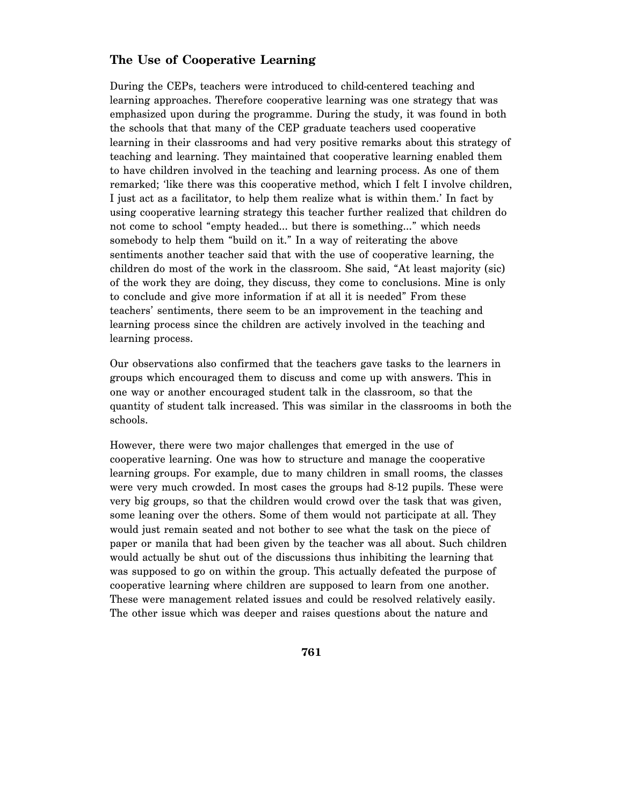### **The Use of Cooperative Learning**

During the CEPs, teachers were introduced to child-centered teaching and learning approaches. Therefore cooperative learning was one strategy that was emphasized upon during the programme. During the study, it was found in both the schools that that many of the CEP graduate teachers used cooperative learning in their classrooms and had very positive remarks about this strategy of teaching and learning. They maintained that cooperative learning enabled them to have children involved in the teaching and learning process. As one of them remarked; 'like there was this cooperative method, which I felt I involve children, I just act as a facilitator, to help them realize what is within them.' In fact by using cooperative learning strategy this teacher further realized that children do not come to school "empty headed… but there is something…" which needs somebody to help them "build on it." In a way of reiterating the above sentiments another teacher said that with the use of cooperative learning, the children do most of the work in the classroom. She said, "At least majority (sic) of the work they are doing, they discuss, they come to conclusions. Mine is only to conclude and give more information if at all it is needed" From these teachers' sentiments, there seem to be an improvement in the teaching and learning process since the children are actively involved in the teaching and learning process.

Our observations also confirmed that the teachers gave tasks to the learners in groups which encouraged them to discuss and come up with answers. This in one way or another encouraged student talk in the classroom, so that the quantity of student talk increased. This was similar in the classrooms in both the schools.

However, there were two major challenges that emerged in the use of cooperative learning. One was how to structure and manage the cooperative learning groups. For example, due to many children in small rooms, the classes were very much crowded. In most cases the groups had 8-12 pupils. These were very big groups, so that the children would crowd over the task that was given, some leaning over the others. Some of them would not participate at all. They would just remain seated and not bother to see what the task on the piece of paper or manila that had been given by the teacher was all about. Such children would actually be shut out of the discussions thus inhibiting the learning that was supposed to go on within the group. This actually defeated the purpose of cooperative learning where children are supposed to learn from one another. These were management related issues and could be resolved relatively easily. The other issue which was deeper and raises questions about the nature and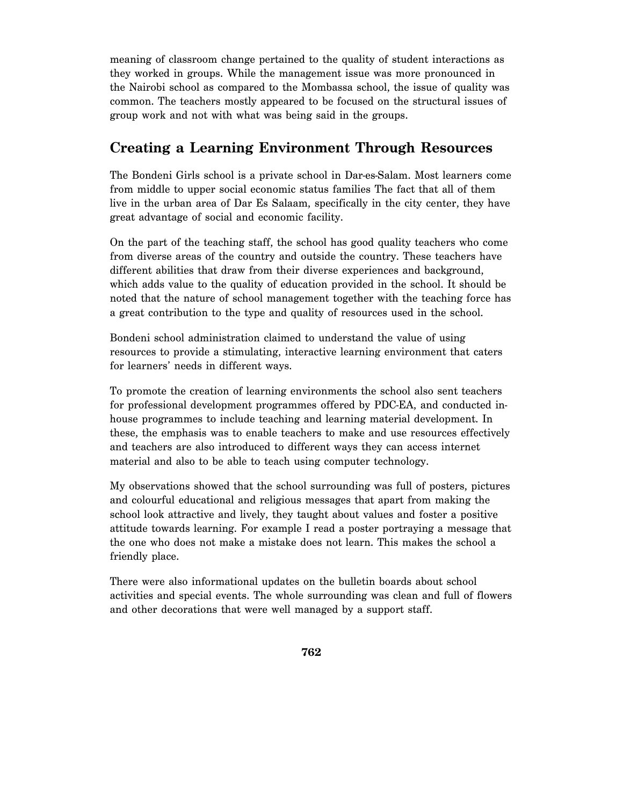meaning of classroom change pertained to the quality of student interactions as they worked in groups. While the management issue was more pronounced in the Nairobi school as compared to the Mombassa school, the issue of quality was common. The teachers mostly appeared to be focused on the structural issues of group work and not with what was being said in the groups.

### **Creating a Learning Environment Through Resources**

The Bondeni Girls school is a private school in Dar-es-Salam. Most learners come from middle to upper social economic status families The fact that all of them live in the urban area of Dar Es Salaam, specifically in the city center, they have great advantage of social and economic facility.

On the part of the teaching staff, the school has good quality teachers who come from diverse areas of the country and outside the country. These teachers have different abilities that draw from their diverse experiences and background, which adds value to the quality of education provided in the school. It should be noted that the nature of school management together with the teaching force has a great contribution to the type and quality of resources used in the school.

Bondeni school administration claimed to understand the value of using resources to provide a stimulating, interactive learning environment that caters for learners' needs in different ways.

To promote the creation of learning environments the school also sent teachers for professional development programmes offered by PDC-EA, and conducted inhouse programmes to include teaching and learning material development. In these, the emphasis was to enable teachers to make and use resources effectively and teachers are also introduced to different ways they can access internet material and also to be able to teach using computer technology.

My observations showed that the school surrounding was full of posters, pictures and colourful educational and religious messages that apart from making the school look attractive and lively, they taught about values and foster a positive attitude towards learning. For example I read a poster portraying a message that the one who does not make a mistake does not learn. This makes the school a friendly place.

There were also informational updates on the bulletin boards about school activities and special events. The whole surrounding was clean and full of flowers and other decorations that were well managed by a support staff.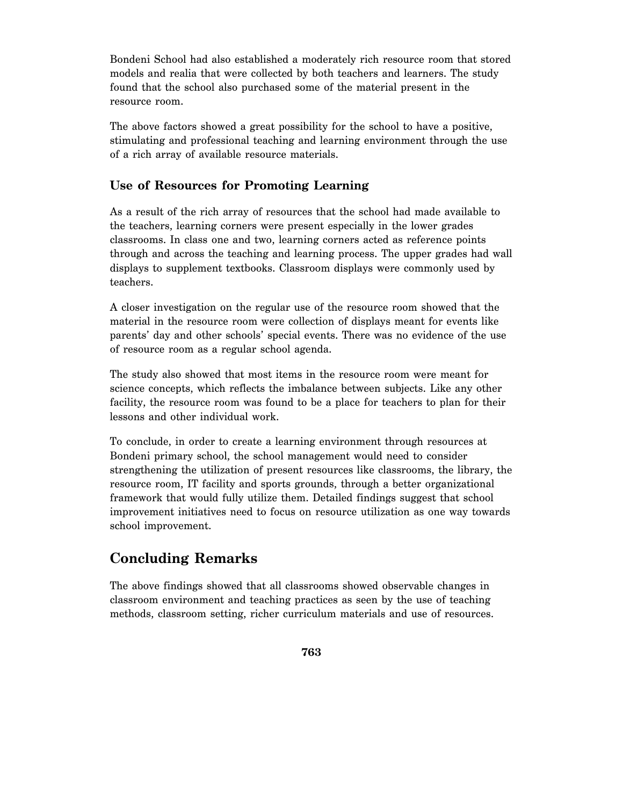Bondeni School had also established a moderately rich resource room that stored models and realia that were collected by both teachers and learners. The study found that the school also purchased some of the material present in the resource room.

The above factors showed a great possibility for the school to have a positive, stimulating and professional teaching and learning environment through the use of a rich array of available resource materials.

### **Use of Resources for Promoting Learning**

As a result of the rich array of resources that the school had made available to the teachers, learning corners were present especially in the lower grades classrooms. In class one and two, learning corners acted as reference points through and across the teaching and learning process. The upper grades had wall displays to supplement textbooks. Classroom displays were commonly used by teachers.

A closer investigation on the regular use of the resource room showed that the material in the resource room were collection of displays meant for events like parents' day and other schools' special events. There was no evidence of the use of resource room as a regular school agenda.

The study also showed that most items in the resource room were meant for science concepts, which reflects the imbalance between subjects. Like any other facility, the resource room was found to be a place for teachers to plan for their lessons and other individual work.

To conclude, in order to create a learning environment through resources at Bondeni primary school, the school management would need to consider strengthening the utilization of present resources like classrooms, the library, the resource room, IT facility and sports grounds, through a better organizational framework that would fully utilize them. Detailed findings suggest that school improvement initiatives need to focus on resource utilization as one way towards school improvement.

## **Concluding Remarks**

The above findings showed that all classrooms showed observable changes in classroom environment and teaching practices as seen by the use of teaching methods, classroom setting, richer curriculum materials and use of resources.